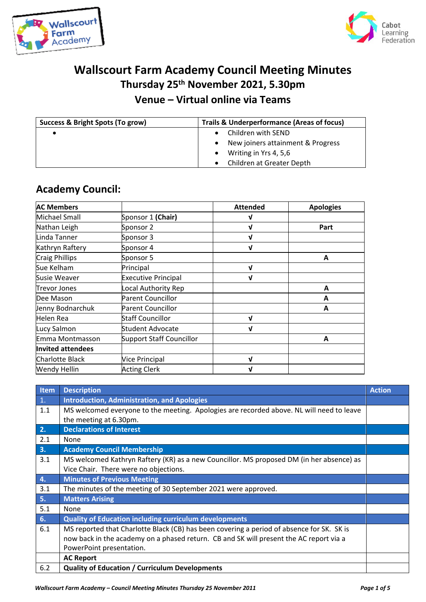



## **Wallscourt Farm Academy Council Meeting Minutes Thursday 25th November 2021, 5.30pm Venue – Virtual online via Teams**

| Success & Bright Spots (To grow) | <b>Trails &amp; Underperformance (Areas of focus)</b> |  |  |
|----------------------------------|-------------------------------------------------------|--|--|
|                                  | Children with SEND                                    |  |  |
|                                  | New joiners attainment & Progress                     |  |  |
|                                  | Writing in Yrs 4, 5,6                                 |  |  |
|                                  | Children at Greater Depth                             |  |  |

## **Academy Council:**

| <b>AC Members</b>        |                                 | <b>Attended</b> | <b>Apologies</b> |
|--------------------------|---------------------------------|-----------------|------------------|
| Michael Small            | Sponsor 1 (Chair)               | V               |                  |
| Nathan Leigh             | Sponsor 2                       | J               | Part             |
| Linda Tanner             | Sponsor 3                       | V               |                  |
| Kathryn Raftery          | Sponsor 4                       | $\mathbf{v}$    |                  |
| Craig Phillips           | Sponsor 5                       |                 | A                |
| Sue Kelham               | Principal                       | V               |                  |
| Susie Weaver             | <b>Executive Principal</b>      | V               |                  |
| <b>Trevor Jones</b>      | Local Authority Rep             |                 | A                |
| Dee Mason                | <b>Parent Councillor</b>        |                 | A                |
| Jenny Bodnarchuk         | Parent Councillor               |                 | A                |
| Helen Rea                | Staff Councillor                | J               |                  |
| Lucy Salmon              | <b>Student Advocate</b>         | V               |                  |
| Emma Montmasson          | <b>Support Staff Councillor</b> |                 | A                |
| <b>Invited attendees</b> |                                 |                 |                  |
| Charlotte Black          | Vice Principal                  | V               |                  |
| <b>Wendy Hellin</b>      | <b>Acting Clerk</b>             | V               |                  |

| Item           | <b>Description</b>                                                                        | <b>Action</b> |
|----------------|-------------------------------------------------------------------------------------------|---------------|
| $\mathbf{1}$ . | <b>Introduction, Administration, and Apologies</b>                                        |               |
| 1.1            | MS welcomed everyone to the meeting. Apologies are recorded above. NL will need to leave  |               |
|                | the meeting at 6.30pm.                                                                    |               |
| 2.             | <b>Declarations of Interest</b>                                                           |               |
| 2.1            | <b>None</b>                                                                               |               |
| 3.             | <b>Academy Council Membership</b>                                                         |               |
| 3.1            | MS welcomed Kathryn Raftery (KR) as a new Councillor. MS proposed DM (in her absence) as  |               |
|                | Vice Chair. There were no objections.                                                     |               |
| 4.             | <b>Minutes of Previous Meeting</b>                                                        |               |
| 3.1            | The minutes of the meeting of 30 September 2021 were approved.                            |               |
| 5.             | <b>Matters Arising</b>                                                                    |               |
| 5.1            | None                                                                                      |               |
| 6.             | <b>Quality of Education including curriculum developments</b>                             |               |
| 6.1            | MS reported that Charlotte Black (CB) has been covering a period of absence for SK. SK is |               |
|                | now back in the academy on a phased return. CB and SK will present the AC report via a    |               |
|                | PowerPoint presentation.                                                                  |               |
|                | <b>AC Report</b>                                                                          |               |
| 6.2            | <b>Quality of Education / Curriculum Developments</b>                                     |               |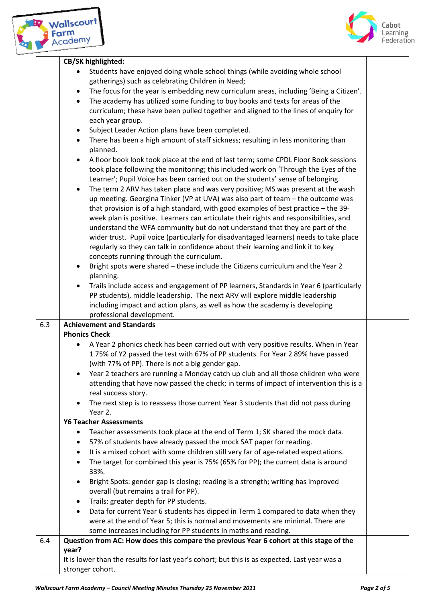

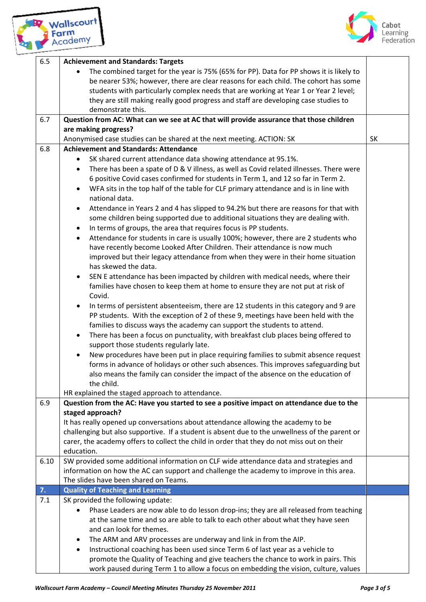



| 6.5  | <b>Achievement and Standards: Targets</b><br>The combined target for the year is 75% (65% for PP). Data for PP shows it is likely to                                               |           |
|------|------------------------------------------------------------------------------------------------------------------------------------------------------------------------------------|-----------|
|      | be nearer 53%; however, there are clear reasons for each child. The cohort has some                                                                                                |           |
|      | students with particularly complex needs that are working at Year 1 or Year 2 level;                                                                                               |           |
|      | they are still making really good progress and staff are developing case studies to                                                                                                |           |
|      | demonstrate this.                                                                                                                                                                  |           |
| 6.7  | Question from AC: What can we see at AC that will provide assurance that those children                                                                                            |           |
|      | are making progress?                                                                                                                                                               |           |
|      | Anonymised case studies can be shared at the next meeting. ACTION: SK                                                                                                              | <b>SK</b> |
| 6.8  | <b>Achievement and Standards: Attendance</b>                                                                                                                                       |           |
|      | SK shared current attendance data showing attendance at 95.1%.                                                                                                                     |           |
|      | There has been a spate of D & V illness, as well as Covid related illnesses. There were                                                                                            |           |
|      | 6 positive Covid cases confirmed for students in Term 1, and 12 so far in Term 2.                                                                                                  |           |
|      | WFA sits in the top half of the table for CLF primary attendance and is in line with<br>$\bullet$<br>national data.                                                                |           |
|      | Attendance in Years 2 and 4 has slipped to 94.2% but there are reasons for that with<br>$\bullet$                                                                                  |           |
|      | some children being supported due to additional situations they are dealing with.                                                                                                  |           |
|      | In terms of groups, the area that requires focus is PP students.<br>$\bullet$                                                                                                      |           |
|      | Attendance for students in care is usually 100%; however, there are 2 students who<br>$\bullet$                                                                                    |           |
|      | have recently become Looked After Children. Their attendance is now much                                                                                                           |           |
|      | improved but their legacy attendance from when they were in their home situation<br>has skewed the data.                                                                           |           |
|      | SEN E attendance has been impacted by children with medical needs, where their                                                                                                     |           |
|      | families have chosen to keep them at home to ensure they are not put at risk of<br>Covid.                                                                                          |           |
|      | In terms of persistent absenteeism, there are 12 students in this category and 9 are                                                                                               |           |
|      | PP students. With the exception of 2 of these 9, meetings have been held with the                                                                                                  |           |
|      | families to discuss ways the academy can support the students to attend.                                                                                                           |           |
|      | There has been a focus on punctuality, with breakfast club places being offered to<br>$\bullet$                                                                                    |           |
|      | support those students regularly late.                                                                                                                                             |           |
|      | New procedures have been put in place requiring families to submit absence request<br>$\bullet$                                                                                    |           |
|      | forms in advance of holidays or other such absences. This improves safeguarding but                                                                                                |           |
|      | also means the family can consider the impact of the absence on the education of                                                                                                   |           |
|      | the child.                                                                                                                                                                         |           |
|      | HR explained the staged approach to attendance.                                                                                                                                    |           |
| 6.9  | Question from the AC: Have you started to see a positive impact on attendance due to the                                                                                           |           |
|      | staged approach?                                                                                                                                                                   |           |
|      | It has really opened up conversations about attendance allowing the academy to be                                                                                                  |           |
|      | challenging but also supportive. If a student is absent due to the unwellness of the parent or                                                                                     |           |
|      | carer, the academy offers to collect the child in order that they do not miss out on their                                                                                         |           |
|      | education.                                                                                                                                                                         |           |
| 6.10 | SW provided some additional information on CLF wide attendance data and strategies and<br>information on how the AC can support and challenge the academy to improve in this area. |           |
|      | The slides have been shared on Teams.                                                                                                                                              |           |
| 7.   | <b>Quality of Teaching and Learning</b>                                                                                                                                            |           |
| 7.1  | SK provided the following update:                                                                                                                                                  |           |
|      | Phase Leaders are now able to do lesson drop-ins; they are all released from teaching                                                                                              |           |
|      | at the same time and so are able to talk to each other about what they have seen                                                                                                   |           |
|      | and can look for themes.                                                                                                                                                           |           |
|      | The ARM and ARV processes are underway and link in from the AIP.<br>$\bullet$                                                                                                      |           |
|      | Instructional coaching has been used since Term 6 of last year as a vehicle to<br>$\bullet$                                                                                        |           |
|      | promote the Quality of Teaching and give teachers the chance to work in pairs. This                                                                                                |           |
|      | work paused during Term 1 to allow a focus on embedding the vision, culture, values                                                                                                |           |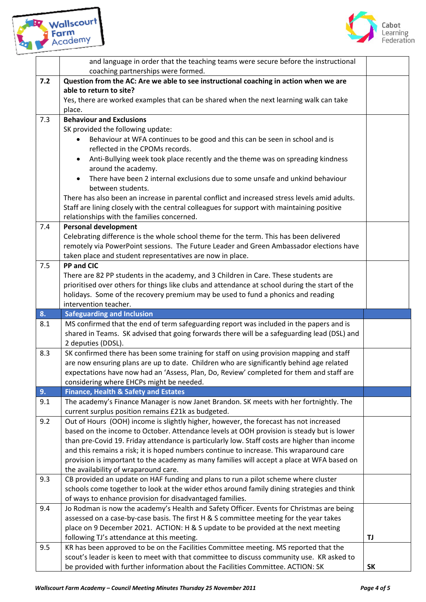



|       | and language in order that the teaching teams were secure before the instructional<br>coaching partnerships were formed.                                                                |           |  |
|-------|-----------------------------------------------------------------------------------------------------------------------------------------------------------------------------------------|-----------|--|
| $7.2$ | Question from the AC: Are we able to see instructional coaching in action when we are                                                                                                   |           |  |
|       | able to return to site?                                                                                                                                                                 |           |  |
|       | Yes, there are worked examples that can be shared when the next learning walk can take                                                                                                  |           |  |
|       | place.                                                                                                                                                                                  |           |  |
| 7.3   | <b>Behaviour and Exclusions</b>                                                                                                                                                         |           |  |
|       | SK provided the following update:                                                                                                                                                       |           |  |
|       | Behaviour at WFA continues to be good and this can be seen in school and is                                                                                                             |           |  |
|       | reflected in the CPOMs records.                                                                                                                                                         |           |  |
|       | Anti-Bullying week took place recently and the theme was on spreading kindness                                                                                                          |           |  |
|       | around the academy.                                                                                                                                                                     |           |  |
|       | There have been 2 internal exclusions due to some unsafe and unkind behaviour                                                                                                           |           |  |
|       | between students.                                                                                                                                                                       |           |  |
|       | There has also been an increase in parental conflict and increased stress levels amid adults.                                                                                           |           |  |
|       | Staff are lining closely with the central colleagues for support with maintaining positive                                                                                              |           |  |
|       | relationships with the families concerned.                                                                                                                                              |           |  |
| 7.4   | <b>Personal development</b>                                                                                                                                                             |           |  |
|       | Celebrating difference is the whole school theme for the term. This has been delivered                                                                                                  |           |  |
|       | remotely via PowerPoint sessions. The Future Leader and Green Ambassador elections have                                                                                                 |           |  |
| 7.5   | taken place and student representatives are now in place.<br><b>PP and CIC</b>                                                                                                          |           |  |
|       | There are 82 PP students in the academy, and 3 Children in Care. These students are                                                                                                     |           |  |
|       | prioritised over others for things like clubs and attendance at school during the start of the                                                                                          |           |  |
|       | holidays. Some of the recovery premium may be used to fund a phonics and reading                                                                                                        |           |  |
|       | intervention teacher.                                                                                                                                                                   |           |  |
| 8.    | <b>Safeguarding and Inclusion</b>                                                                                                                                                       |           |  |
| 8.1   | MS confirmed that the end of term safeguarding report was included in the papers and is                                                                                                 |           |  |
|       | shared in Teams. SK advised that going forwards there will be a safeguarding lead (DSL) and                                                                                             |           |  |
|       | 2 deputies (DDSL).                                                                                                                                                                      |           |  |
| 8.3   | SK confirmed there has been some training for staff on using provision mapping and staff                                                                                                |           |  |
|       | are now ensuring plans are up to date. Children who are significantly behind age related                                                                                                |           |  |
|       | expectations have now had an 'Assess, Plan, Do, Review' completed for them and staff are                                                                                                |           |  |
|       | considering where EHCPs might be needed.                                                                                                                                                |           |  |
| 9.    | <b>Finance, Health &amp; Safety and Estates</b>                                                                                                                                         |           |  |
| 9.1   | The academy's Finance Manager is now Janet Brandon. SK meets with her fortnightly. The                                                                                                  |           |  |
|       | current surplus position remains £21k as budgeted.                                                                                                                                      |           |  |
| 9.2   | Out of Hours (OOH) income is slightly higher, however, the forecast has not increased                                                                                                   |           |  |
|       | based on the income to October. Attendance levels at OOH provision is steady but is lower                                                                                               |           |  |
|       | than pre-Covid 19. Friday attendance is particularly low. Staff costs are higher than income<br>and this remains a risk; it is hoped numbers continue to increase. This wraparound care |           |  |
|       | provision is important to the academy as many families will accept a place at WFA based on                                                                                              |           |  |
|       | the availability of wraparound care.                                                                                                                                                    |           |  |
| 9.3   | CB provided an update on HAF funding and plans to run a pilot scheme where cluster                                                                                                      |           |  |
|       | schools come together to look at the wider ethos around family dining strategies and think                                                                                              |           |  |
|       | of ways to enhance provision for disadvantaged families.                                                                                                                                |           |  |
| 9.4   | Jo Rodman is now the academy's Health and Safety Officer. Events for Christmas are being                                                                                                |           |  |
|       | assessed on a case-by-case basis. The first H & S committee meeting for the year takes                                                                                                  |           |  |
|       | place on 9 December 2021. ACTION: H & S update to be provided at the next meeting                                                                                                       |           |  |
|       | following TJ's attendance at this meeting.                                                                                                                                              | TJ        |  |
| 9.5   | KR has been approved to be on the Facilities Committee meeting. MS reported that the                                                                                                    |           |  |
|       | scout's leader is keen to meet with that committee to discuss community use. KR asked to                                                                                                |           |  |
|       | be provided with further information about the Facilities Committee. ACTION: SK                                                                                                         | <b>SK</b> |  |